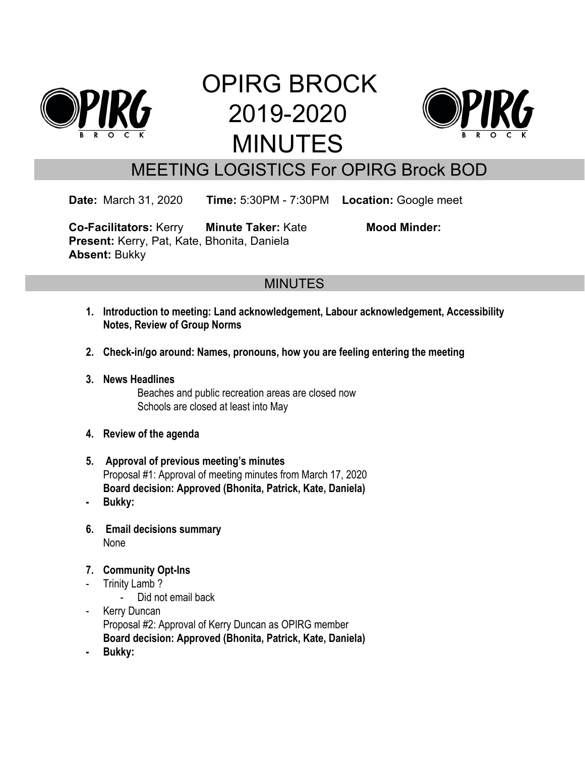

# OPIRG BROCK 2019-2020 MINUTES



## MEETING LOGISTICS For OPIRG Brock BOD

**Date:** March 31, 2020 **Time:** 5:30PM - 7:30PM **Location:** Google meet

**Co-Facilitators:** Kerry **Minute Taker:** Kate **Mood Minder: Present:** Kerry, Pat, Kate, Bhonita, Daniela **Absent:** Bukky

### **MINUTES**

- **1. Introduction to meeting: Land acknowledgement, Labour acknowledgement, Accessibility Notes, Review of Group Norms**
- **2. Check-in/go around: Names, pronouns, how you are feeling entering the meeting**
- **3. News Headlines** Beaches and public recreation areas are closed now Schools are closed at least into May
- **4. Review of the agenda**
- **5. Approval of previous meeting's minutes** Proposal #1: Approval of meeting minutes from March 17, 2020 **Board decision: Approved (Bhonita, Patrick, Kate, Daniela)**
- **- Bukky:**
- **6. Email decisions summary** None
- **7. Community Opt-Ins**
- Trinity Lamb ?

- Did not email back

- Kerry Duncan Proposal #2: Approval of Kerry Duncan as OPIRG member **Board decision: Approved (Bhonita, Patrick, Kate, Daniela)**
- **- Bukky:**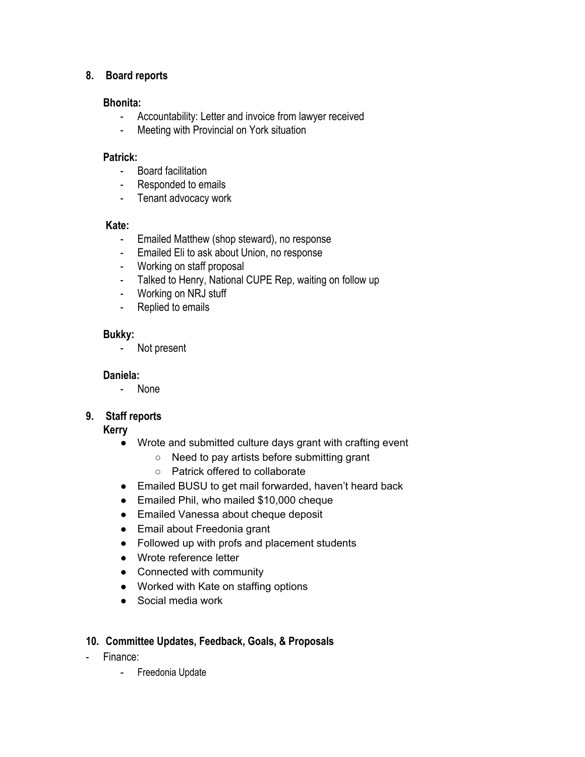#### **8. Board reports**

#### **Bhonita:**

- Accountability: Letter and invoice from lawyer received
- Meeting with Provincial on York situation

#### **Patrick:**

- Board facilitation
- Responded to emails
- Tenant advocacy work

#### **Kate:**

- Emailed Matthew (shop steward), no response
- Emailed Eli to ask about Union, no response
- Working on staff proposal
- Talked to Henry, National CUPE Rep, waiting on follow up
- Working on NRJ stuff
- Replied to emails

#### **Bukky:**

- Not present

#### **Daniela:**

- None

#### **9. Staff reports**

#### **Kerry**

- Wrote and submitted culture days grant with crafting event
	- Need to pay artists before submitting grant
	- Patrick offered to collaborate
- Emailed BUSU to get mail forwarded, haven't heard back
- Emailed Phil, who mailed \$10,000 cheque
- Emailed Vanessa about cheque deposit
- Email about Freedonia grant
- Followed up with profs and placement students
- Wrote reference letter
- Connected with community
- Worked with Kate on staffing options
- Social media work

#### **10. Committee Updates, Feedback, Goals, & Proposals**

- Finance:
	- Freedonia Update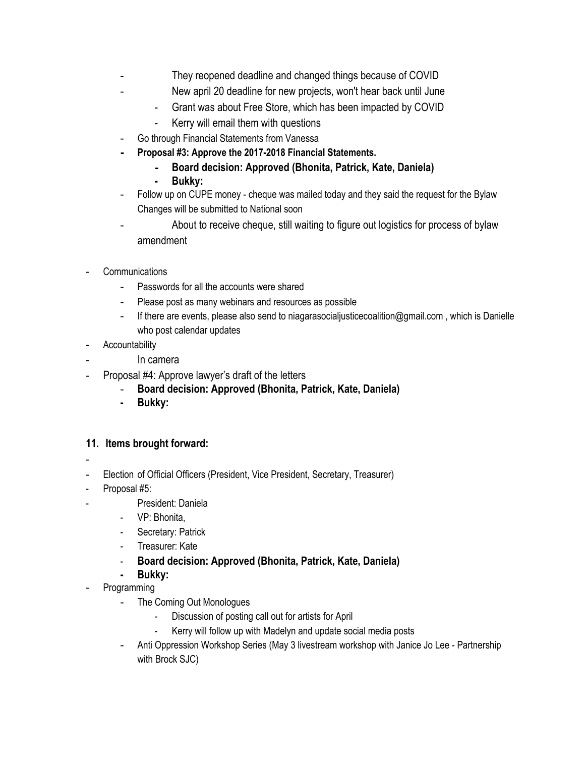- They reopened deadline and changed things because of COVID
	- New april 20 deadline for new projects, won't hear back until June
		- Grant was about Free Store, which has been impacted by COVID
		- Kerry will email them with questions
- Go through Financial Statements from Vanessa
- **- Proposal #3: Approve the 2017-2018 Financial Statements.**
	- **- Board decision: Approved (Bhonita, Patrick, Kate, Daniela)**
	- **- Bukky:**
- Follow up on CUPE money cheque was mailed today and they said the request for the Bylaw Changes will be submitted to National soon
- About to receive cheque, still waiting to figure out logistics for process of bylaw amendment
- **Communications** 
	- Passwords for all the accounts were shared
	- Please post as many webinars and resources as possible
	- If there are events, please also send to niagarasocialjusticecoalition@gmail.com , which is Danielle who post calendar updates
- **Accountability** 
	- In camera
- Proposal #4: Approve lawyer's draft of the letters
	- **Board decision: Approved (Bhonita, Patrick, Kate, Daniela)**
	- **- Bukky:**

#### **11. Items brought forward:**

- -
- Election of Official Officers (President, Vice President, Secretary, Treasurer)
- Proposal #5:
	- President: Daniela
	- VP: Bhonita,
	- Secretary: Patrick
	- Treasurer: Kate
	- **Board decision: Approved (Bhonita, Patrick, Kate, Daniela)**
	- **- Bukky:**
- **Programming** 
	- The Coming Out Monologues
		- Discussion of posting call out for artists for April
		- Kerry will follow up with Madelyn and update social media posts
	- Anti Oppression Workshop Series (May 3 livestream workshop with Janice Jo Lee Partnership with Brock SJC)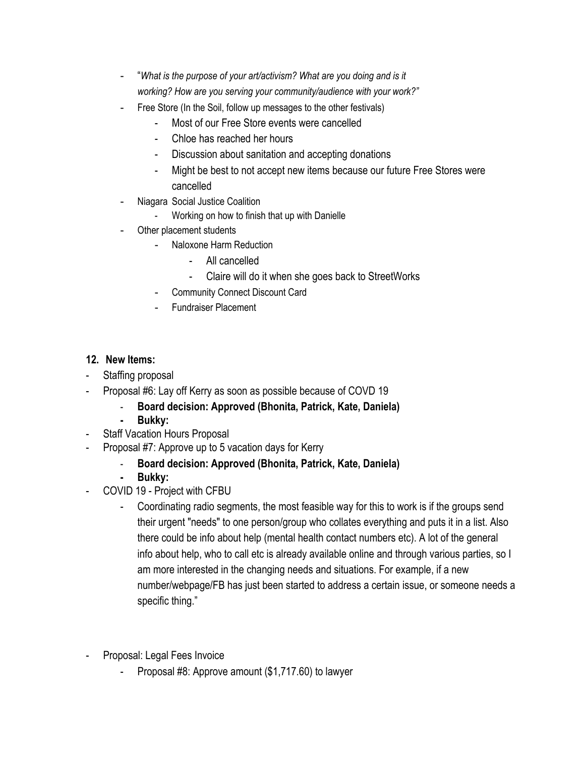- "*What is the purpose of your art/activism? What are you doing and is it working? How are you serving your community/audience with your work?"*
- Free Store (In the Soil, follow up messages to the other festivals)
	- Most of our Free Store events were cancelled
	- Chloe has reached her hours
	- Discussion about sanitation and accepting donations
	- Might be best to not accept new items because our future Free Stores were cancelled
- Niagara Social Justice Coalition
	- Working on how to finish that up with Danielle
- Other placement students
	- Naloxone Harm Reduction
		- All cancelled
		- Claire will do it when she goes back to StreetWorks
	- Community Connect Discount Card
	- Fundraiser Placement

#### **12. New Items:**

- Staffing proposal
- Proposal #6: Lay off Kerry as soon as possible because of COVD 19
	- **Board decision: Approved (Bhonita, Patrick, Kate, Daniela)**
	- **- Bukky:**
- Staff Vacation Hours Proposal
- Proposal #7: Approve up to 5 vacation days for Kerry
	- **Board decision: Approved (Bhonita, Patrick, Kate, Daniela)**
	- **- Bukky:**
- COVID 19 Project with CFBU
	- Coordinating radio segments, the most feasible way for this to work is if the groups send their urgent "needs" to one person/group who collates everything and puts it in a list. Also there could be info about help (mental health contact numbers etc). A lot of the general info about help, who to call etc is already available online and through various parties, so I am more interested in the changing needs and situations. For example, if a new number/webpage/FB has just been started to address a certain issue, or someone needs a specific thing."
- Proposal: Legal Fees Invoice
	- Proposal #8: Approve amount (\$1,717.60) to lawyer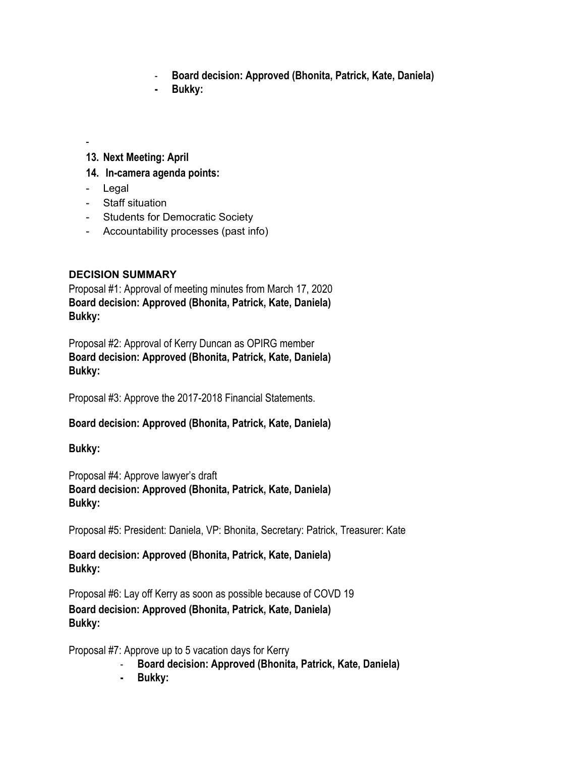- **Board decision: Approved (Bhonita, Patrick, Kate, Daniela)**
- **- Bukky:**

-

#### **13. Next Meeting: April**

- **14. In-camera agenda points:**
- Legal
- Staff situation
- Students for Democratic Society
- Accountability processes (past info)

#### **DECISION SUMMARY**

Proposal #1: Approval of meeting minutes from March 17, 2020 **Board decision: Approved (Bhonita, Patrick, Kate, Daniela) Bukky:**

Proposal #2: Approval of Kerry Duncan as OPIRG member **Board decision: Approved (Bhonita, Patrick, Kate, Daniela) Bukky:**

Proposal #3: Approve the 2017-2018 Financial Statements.

#### **Board decision: Approved (Bhonita, Patrick, Kate, Daniela)**

#### **Bukky:**

Proposal #4: Approve lawyer's draft **Board decision: Approved (Bhonita, Patrick, Kate, Daniela) Bukky:**

Proposal #5: President: Daniela, VP: Bhonita, Secretary: Patrick, Treasurer: Kate

**Board decision: Approved (Bhonita, Patrick, Kate, Daniela) Bukky:**

Proposal #6: Lay off Kerry as soon as possible because of COVD 19 **Board decision: Approved (Bhonita, Patrick, Kate, Daniela) Bukky:**

Proposal #7: Approve up to 5 vacation days for Kerry

- **Board decision: Approved (Bhonita, Patrick, Kate, Daniela)**
- **- Bukky:**